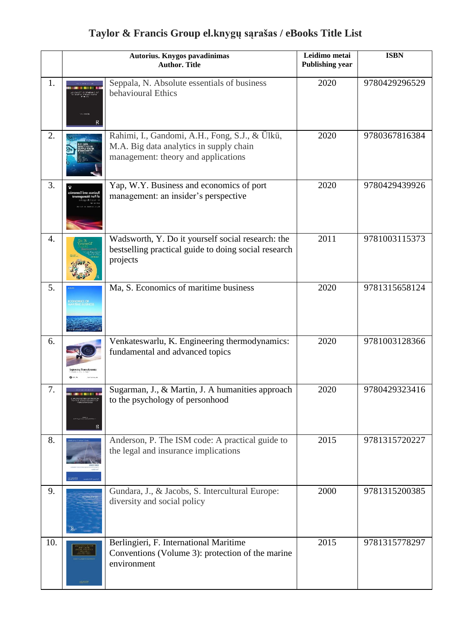## **Taylor & Francis Group el.knygų sąrašas / eBooks Title List**

|     |                     | Autorius. Knygos pavadinimas<br><b>Author. Title</b>                                                                             | Leidimo metai<br><b>Publishing year</b> | <b>ISBN</b>   |
|-----|---------------------|----------------------------------------------------------------------------------------------------------------------------------|-----------------------------------------|---------------|
| 1.  |                     | Seppala, N. Absolute essentials of business<br>behavioural Ethics                                                                | 2020                                    | 9780429296529 |
| 2.  |                     | Rahimi, I., Gandomi, A.H., Fong, S.J., & Ülkü,<br>M.A. Big data analytics in supply chain<br>management: theory and applications | 2020                                    | 9780367816384 |
| 3.  | usiness and Economi | Yap, W.Y. Business and economics of port<br>management: an insider's perspective                                                 | 2020                                    | 9780429439926 |
| 4.  |                     | Wadsworth, Y. Do it yourself social research: the<br>bestselling practical guide to doing social research<br>projects            | 2011                                    | 9781003115373 |
| 5.  |                     | Ma, S. Economics of maritime business                                                                                            | 2020                                    | 9781315658124 |
| 6.  |                     | Venkateswarlu, K. Engineering thermodynamics:<br>fundamental and advanced topics                                                 | 2020                                    | 9781003128366 |
| 7.  |                     | Sugarman, J., & Martin, J. A humanities approach<br>to the psychology of personhood                                              | 2020                                    | 9780429323416 |
| 8.  |                     | Anderson, P. The ISM code: A practical guide to<br>the legal and insurance implications                                          | 2015                                    | 9781315720227 |
| 9.  |                     | Gundara, J., & Jacobs, S. Intercultural Europe:<br>diversity and social policy                                                   | 2000                                    | 9781315200385 |
| 10. |                     | Berlingieri, F. International Maritime<br>Conventions (Volume 3): protection of the marine<br>environment                        | 2015                                    | 9781315778297 |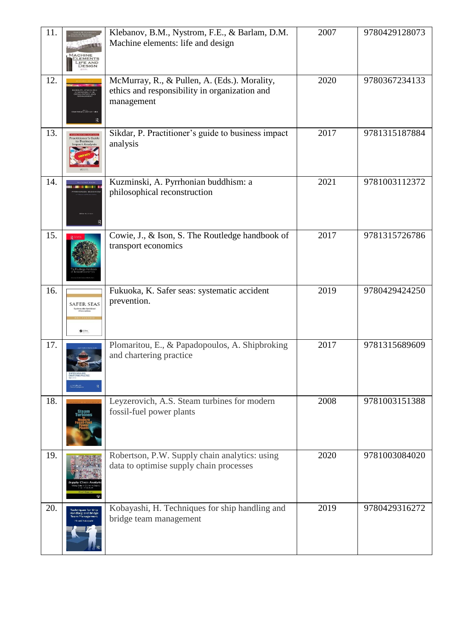| 11. | <b>IFE AND</b>                                                  | Klebanov, B.M., Nystrom, F.E., & Barlam, D.M.<br>Machine elements: life and design                          | 2007 | 9780429128073 |
|-----|-----------------------------------------------------------------|-------------------------------------------------------------------------------------------------------------|------|---------------|
| 12. |                                                                 | McMurray, R., & Pullen, A. (Eds.). Morality,<br>ethics and responsibility in organization and<br>management | 2020 | 9780367234133 |
| 13. | <b>Practitioner's Guide</b><br>npact Analysi                    | Sikdar, P. Practitioner's guide to business impact<br>analysis                                              | 2017 | 9781315187884 |
| 14. |                                                                 | Kuzminski, A. Pyrrhonian buddhism: a<br>philosophical reconstruction                                        | 2021 | 9781003112372 |
| 15. |                                                                 | Cowie, J., & Ison, S. The Routledge handbook of<br>transport economics                                      | 2017 | 9781315726786 |
| 16. | SAFER SEA:<br>stematic Acciden<br>$\bullet$ cress.              | Fukuoka, K. Safer seas: systematic accident<br>prevention.                                                  | 2019 | 9780429424250 |
| 17. |                                                                 | Plomaritou, E., & Papadopoulos, A. Shipbroking<br>and chartering practice                                   | 2017 | 9781315689609 |
| 18. |                                                                 | Leyzerovich, A.S. Steam turbines for modern<br>fossil-fuel power plants                                     | 2008 | 9781003151388 |
| 19. |                                                                 | Robertson, P.W. Supply chain analytics: using<br>data to optimise supply chain processes                    | 2020 | 9781003084020 |
| 20. | Techniques for Ship<br><b>Handling and Bridge</b><br>am Managem | Kobayashi, H. Techniques for ship handling and<br>bridge team management                                    | 2019 | 9780429316272 |